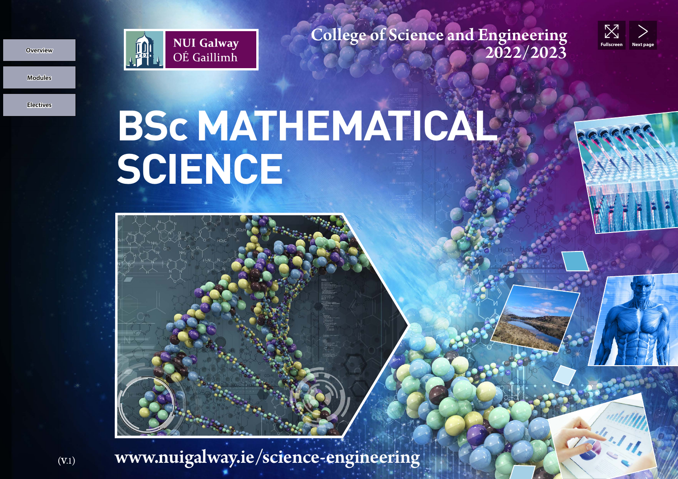

College of Science and Engineering<br>2022/2023



**Modules Overview**

**Electives**

## **BSC MATHEMATICAL SCIENCE**



 $\text{www.nuigalway.ie}/\text{science-engineering}$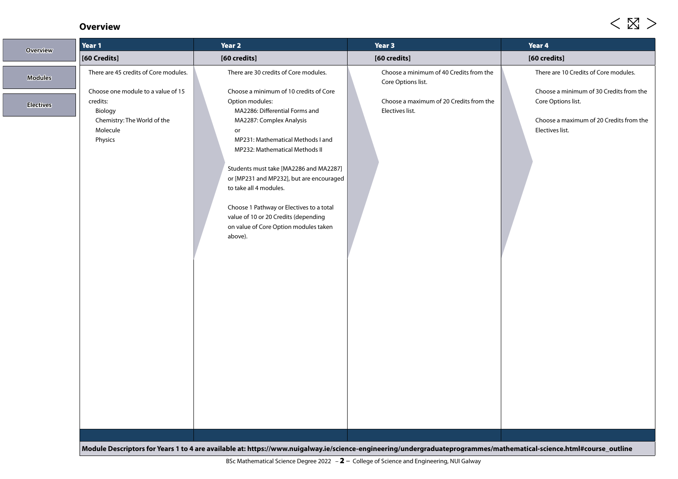## **Overview**

| <b>Overview</b>                    | Year 1                                                                                                                                                   | Year 2                                                                                                                                                                                                                                                                                                                                                                                                                                                                                                | Year 3                                                                                                                      | Year 4                                                                                                                                                               |  |  |
|------------------------------------|----------------------------------------------------------------------------------------------------------------------------------------------------------|-------------------------------------------------------------------------------------------------------------------------------------------------------------------------------------------------------------------------------------------------------------------------------------------------------------------------------------------------------------------------------------------------------------------------------------------------------------------------------------------------------|-----------------------------------------------------------------------------------------------------------------------------|----------------------------------------------------------------------------------------------------------------------------------------------------------------------|--|--|
|                                    | [60 Credits]                                                                                                                                             | [60 credits]                                                                                                                                                                                                                                                                                                                                                                                                                                                                                          | [60 credits]                                                                                                                | [60 credits]                                                                                                                                                         |  |  |
| <b>Modules</b><br><b>Electives</b> | There are 45 credits of Core modules.<br>Choose one module to a value of 15<br>credits:<br>Biology<br>Chemistry: The World of the<br>Molecule<br>Physics | There are 30 credits of Core modules.<br>Choose a minimum of 10 credits of Core<br>Option modules:<br>MA2286: Differential Forms and<br>MA2287: Complex Analysis<br>or<br>MP231: Mathematical Methods I and<br>MP232: Mathematical Methods II<br>Students must take [MA2286 and MA2287]<br>or [MP231 and MP232], but are encouraged<br>to take all 4 modules.<br>Choose 1 Pathway or Electives to a total<br>value of 10 or 20 Credits (depending<br>on value of Core Option modules taken<br>above). | Choose a minimum of 40 Credits from the<br>Core Options list.<br>Choose a maximum of 20 Credits from the<br>Electives list. | There are 10 Credits of Core modules.<br>Choose a minimum of 30 Credits from the<br>Core Options list.<br>Choose a maximum of 20 Credits from the<br>Electives list. |  |  |
|                                    |                                                                                                                                                          | Module Descriptors for Years 1 to 4 are available at: https://www.nuigalway.ie/science-engineering/undergraduateprogrammes/mathematical-science.html#course_outline                                                                                                                                                                                                                                                                                                                                   |                                                                                                                             |                                                                                                                                                                      |  |  |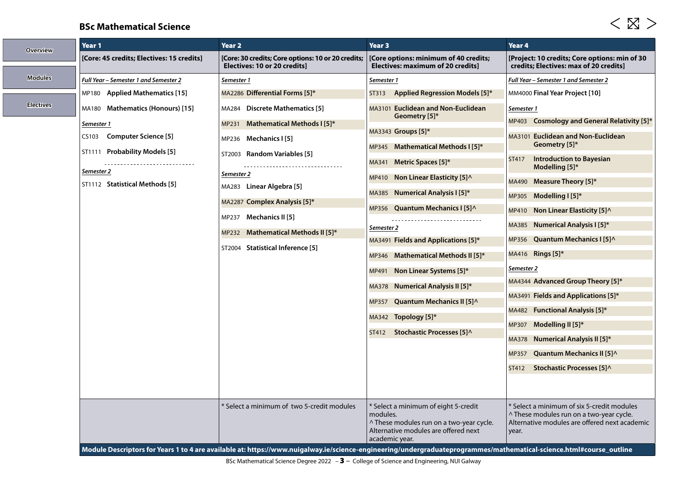## **BSc Mathematical Science**

| <b>Overview</b>  | Year 1                                                                                                                                                                  | Year <sub>2</sub>                                                                                                                                                                                                                                                                                                   | Year 3                                                                                                                                                                                                                                                                                                                                                                                                                                                                                                                                                       | Year <sub>4</sub>                                                                                                                                                                                                                                                                                                                                                                                                                                                                                                                                                                               |
|------------------|-------------------------------------------------------------------------------------------------------------------------------------------------------------------------|---------------------------------------------------------------------------------------------------------------------------------------------------------------------------------------------------------------------------------------------------------------------------------------------------------------------|--------------------------------------------------------------------------------------------------------------------------------------------------------------------------------------------------------------------------------------------------------------------------------------------------------------------------------------------------------------------------------------------------------------------------------------------------------------------------------------------------------------------------------------------------------------|-------------------------------------------------------------------------------------------------------------------------------------------------------------------------------------------------------------------------------------------------------------------------------------------------------------------------------------------------------------------------------------------------------------------------------------------------------------------------------------------------------------------------------------------------------------------------------------------------|
|                  | [Core: 45 credits; Electives: 15 credits]                                                                                                                               | [Core: 30 credits; Core options: 10 or 20 credits;<br><b>Electives: 10 or 20 credits]</b>                                                                                                                                                                                                                           | [Core options: minimum of 40 credits;<br><b>Electives: maximum of 20 credits]</b>                                                                                                                                                                                                                                                                                                                                                                                                                                                                            | [Project: 10 credits; Core options: min of 30<br>credits; Electives: max of 20 credits]                                                                                                                                                                                                                                                                                                                                                                                                                                                                                                         |
| <b>Modules</b>   | Full Year - Semester 1 and Semester 2                                                                                                                                   | Semester 1                                                                                                                                                                                                                                                                                                          | Semester 1                                                                                                                                                                                                                                                                                                                                                                                                                                                                                                                                                   | Full Year - Semester 1 and Semester 2                                                                                                                                                                                                                                                                                                                                                                                                                                                                                                                                                           |
|                  | MP180 Applied Mathematics [15]                                                                                                                                          | MA2286 Differential Forms [5]*                                                                                                                                                                                                                                                                                      | Applied Regression Models [5]*<br>ST313                                                                                                                                                                                                                                                                                                                                                                                                                                                                                                                      | MM4000 Final Year Project [10]                                                                                                                                                                                                                                                                                                                                                                                                                                                                                                                                                                  |
| <b>Electives</b> | MA180 Mathematics (Honours) [15]<br>Semester 1<br><b>Computer Science [5]</b><br>CS103<br>ST1111 Probability Models [5]<br>Semester 2<br>ST1112 Statistical Methods [5] | MA284 Discrete Mathematics [5]<br><b>Mathematical Methods I [5]*</b><br>MP231<br>MP236 Mechanics I [5]<br>ST2003 Random Variables [5]<br>Semester 2<br>MA283 Linear Algebra [5]<br>MA2287 Complex Analysis [5]*<br>MP237 Mechanics II [5]<br>MP232 Mathematical Methods II [5]*<br>ST2004 Statistical Inference [5] | MA3101 Euclidean and Non-Euclidean<br>Geometry [5]*<br>MA3343 Groups [5]*<br>Mathematical Methods I [5]*<br>MP345<br>Metric Spaces [5]*<br>MA341<br><b>Non Linear Elasticity [5]</b> ^<br>MP410<br>MA385 Numerical Analysis I [5]*<br>MP356 Quantum Mechanics I [5]^<br>Semester 2<br>MA3491 Fields and Applications [5]*<br><b>Mathematical Methods II [5]*</b><br>MP346<br>Non Linear Systems [5]*<br>MP491<br><b>Numerical Analysis II [5]*</b><br>MA378<br>Quantum Mechanics II [5] ^<br>MP357<br>MA342 Topology [5]*<br>ST412 Stochastic Processes [5]^ | Semester 1<br>MP403 Cosmology and General Relativity [5]*<br>MA3101 Euclidean and Non-Euclidean<br>Geometry [5]*<br><b>Introduction to Bayesian</b><br>ST417<br>Modelling [5]*<br>Measure Theory [5]*<br>MA490<br>Modelling I [5]*<br>MP305<br>Non Linear Elasticity $[5]$<br>MP410<br><b>Numerical Analysis I [5]*</b><br>MA385<br>Quantum Mechanics I [5]^<br>MP356<br>MA416 Rings [5]*<br>Semester 2<br>MA4344 Advanced Group Theory [5]*<br>MA3491 Fields and Applications [5]*<br>MA482 Functional Analysis [5]*<br>Modelling II [5]*<br><b>MP307</b><br><b>Numerical Analysis II [5]*</b> |
|                  |                                                                                                                                                                         |                                                                                                                                                                                                                                                                                                                     |                                                                                                                                                                                                                                                                                                                                                                                                                                                                                                                                                              | MA378<br><b>Quantum Mechanics II [5]^</b><br><b>MP357</b><br>Stochastic Processes [5]^<br>ST412                                                                                                                                                                                                                                                                                                                                                                                                                                                                                                 |
|                  |                                                                                                                                                                         | Select a minimum of two 5-credit modules<br>Module Descriptors for Years 1 to 4 are available at: https://www.nuigalway.ie/science-engineering/undergraduateprogrammes/mathematical-science.html#course_outline                                                                                                     | * Select a minimum of eight 5-credit<br>modules.<br>^ These modules run on a two-year cycle.<br>Alternative modules are offered next<br>academic year.                                                                                                                                                                                                                                                                                                                                                                                                       | Select a minimum of six 5-credit modules<br>^ These modules run on a two-year cycle.<br>Alternative modules are offered next academic<br>year.                                                                                                                                                                                                                                                                                                                                                                                                                                                  |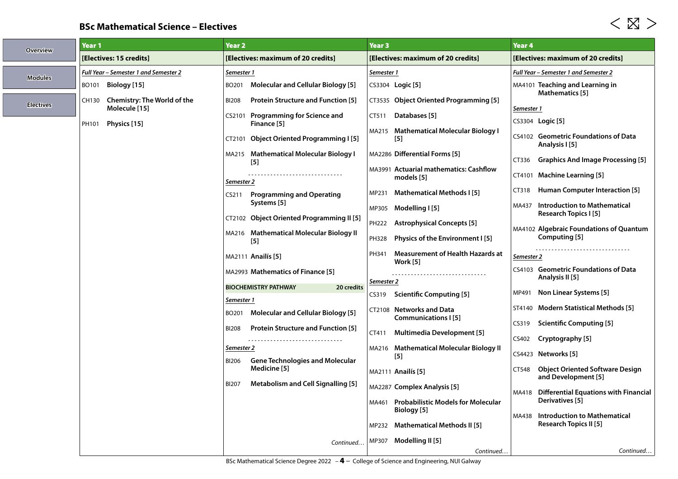## **BSc Mathematical Science – Electives**

| <b>Overview</b>  | Year 1                                | Year 2                                                                     | <b>Year 3</b>                                           | Year 4                                                                |
|------------------|---------------------------------------|----------------------------------------------------------------------------|---------------------------------------------------------|-----------------------------------------------------------------------|
|                  | [Electives: 15 credits]               | [Electives: maximum of 20 credits]                                         | [Electives: maximum of 20 credits]                      | [Electives: maximum of 20 credits]                                    |
| <b>Modules</b>   | Full Year - Semester 1 and Semester 2 | Semester 1                                                                 | Semester 1                                              | Full Year – Semester 1 and Semester 2                                 |
|                  | BO101 Biology [15]                    | <b>Molecular and Cellular Biology [5]</b><br>BO201                         | CS3304 Logic [5]                                        | MA4101 Teaching and Learning in                                       |
| <b>Electives</b> | CH130 Chemistry: The World of the     | <b>BI208</b><br><b>Protein Structure and Function [5]</b>                  | CT3535 Object Oriented Programming [5]                  | Mathematics [5]                                                       |
|                  | Molecule [15]                         | CS2101 Programming for Science and                                         | Databases [5]<br>CT511                                  | Semester 1                                                            |
|                  | Physics [15]<br>PH101                 | Finance [5]                                                                | MA215 Mathematical Molecular Biology I                  | CS3304 Logic [5]                                                      |
|                  |                                       | CT2101 Object Oriented Programming I [5]                                   | $[5]$                                                   | CS4102 Geometric Foundations of Data<br>Analysis I [5]                |
|                  |                                       | MA215 Mathematical Molecular Biology I                                     | MA2286 Differential Forms [5]                           | <b>Graphics And Image Processing [5]</b><br>CT336                     |
|                  |                                       | $[5]$                                                                      | MA3991 Actuarial mathematics: Cashflow                  | CT4101 Machine Learning [5]                                           |
|                  |                                       | Semester 2                                                                 | models [5]                                              | Human Computer Interaction [5]<br>CT318                               |
|                  |                                       | <b>Programming and Operating</b><br>CS211<br>Systems [5]                   | Mathematical Methods I [5]<br>MP231                     |                                                                       |
|                  |                                       | CT2102 Object Oriented Programming II [5]                                  | Modelling I [5]<br>MP305                                | <b>Introduction to Mathematical</b><br>MA437<br>Research Topics I [5] |
|                  |                                       |                                                                            | PH222<br><b>Astrophysical Concepts [5]</b>              | <b>MA4102 Algebraic Foundations of Quantum</b>                        |
|                  |                                       | MA216 Mathematical Molecular Biology II<br>$[5]$                           | Physics of the Environment I [5]<br>PH328               | Computing [5]                                                         |
|                  |                                       | MA2111 Anailís [5]                                                         | <b>Measurement of Health Hazards at</b><br>PH341        | --------------------------------<br>Semester 2                        |
|                  |                                       | MA2993 Mathematics of Finance [5]                                          | Work [5]                                                | CS4103 Geometric Foundations of Data                                  |
|                  |                                       | <b>BIOCHEMISTRY PATHWAY</b><br>20 credits                                  | Semester 2                                              | Analysis II [5]                                                       |
|                  |                                       | Semester 1                                                                 | <b>Scientific Computing [5]</b><br>CS319                | MP491 Non Linear Systems [5]                                          |
|                  |                                       | <b>Molecular and Cellular Biology [5]</b><br>BO201                         | CT2108 Networks and Data                                | ST4140 Modern Statistical Methods [5]                                 |
|                  |                                       | <b>Protein Structure and Function [5]</b><br><b>BI208</b>                  | <b>Communications I [5]</b>                             | <b>Scientific Computing [5]</b><br>CS319                              |
|                  |                                       |                                                                            | <b>Multimedia Development [5]</b><br>CT411              | CS402 <b>Cryptography</b> [ <b>5</b> ]                                |
|                  |                                       | Semester 2                                                                 | MA216 Mathematical Molecular Biology II<br>$[5]$        | CS4423 Networks [5]                                                   |
|                  |                                       | <b>Gene Technologies and Molecular</b><br>BI206<br>Medicine <sup>[5]</sup> | <b>MA2111 Anailís [5]</b>                               | <b>Object Oriented Software Design</b><br>CT548                       |
|                  |                                       | Metabolism and Cell Signalling [5]<br><b>BI207</b>                         |                                                         | and Development [5]                                                   |
|                  |                                       |                                                                            | MA2287 Complex Analysis [5]                             | MA418 Differential Equations with Financial                           |
|                  |                                       |                                                                            | MA461 Probabilistic Models for Molecular<br>Biology [5] | Derivatives [5]                                                       |
|                  |                                       |                                                                            | MP232 Mathematical Methods II [5]                       | MA438 Introduction to Mathematical<br><b>Research Topics II [5]</b>   |
|                  |                                       |                                                                            | MP307 Modelling II [5]                                  |                                                                       |
|                  |                                       | Continued                                                                  | Continued                                               | Continued                                                             |

 $<\boxtimes>$